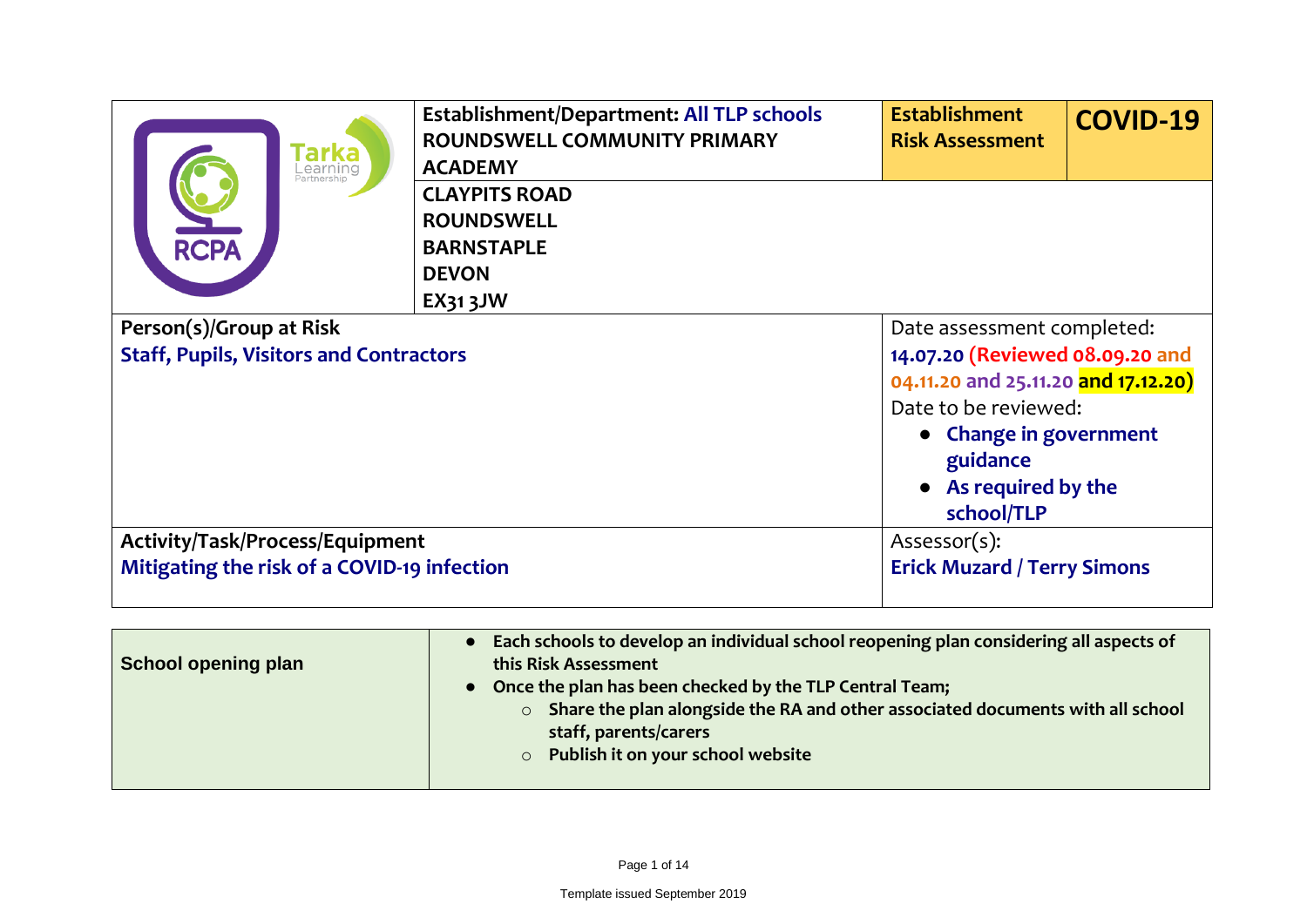| 'arka<br>Learning                                                                                                                    | <b>Establishment/Department: All TLP schools</b><br><b>ROUNDSWELL COMMUNITY PRIMARY</b><br><b>ACADEMY</b> | <b>Establishment</b><br><b>Risk Assessment</b>                                                                                                                                                         | <b>COVID-19</b> |
|--------------------------------------------------------------------------------------------------------------------------------------|-----------------------------------------------------------------------------------------------------------|--------------------------------------------------------------------------------------------------------------------------------------------------------------------------------------------------------|-----------------|
| <b>RCPA</b>                                                                                                                          | <b>CLAYPITS ROAD</b><br><b>ROUNDSWELL</b><br><b>BARNSTAPLE</b><br><b>DEVON</b><br><b>EX31 3JW</b>         |                                                                                                                                                                                                        |                 |
| Person(s)/Group at Risk<br><b>Staff, Pupils, Visitors and Contractors</b>                                                            |                                                                                                           | Date assessment completed:<br>14.07.20 (Reviewed 08.09.20 and<br>04.11.20 and 25.11.20 and 17.12.20)<br>Date to be reviewed:<br>• Change in government<br>guidance<br>As required by the<br>school/TLP |                 |
| Activity/Task/Process/Equipment<br>Assessor(s):<br>Mitigating the risk of a COVID-19 infection<br><b>Erick Muzard / Terry Simons</b> |                                                                                                           |                                                                                                                                                                                                        |                 |

| School opening plan | Each schools to develop an individual school reopening plan considering all aspects of<br>this Risk Assessment<br>• Once the plan has been checked by the TLP Central Team;<br>Share the plan alongside the RA and other associated documents with all school<br>$\circ$<br>staff, parents/carers<br>Publish it on your school website<br>$\circ$ |
|---------------------|---------------------------------------------------------------------------------------------------------------------------------------------------------------------------------------------------------------------------------------------------------------------------------------------------------------------------------------------------|
|---------------------|---------------------------------------------------------------------------------------------------------------------------------------------------------------------------------------------------------------------------------------------------------------------------------------------------------------------------------------------------|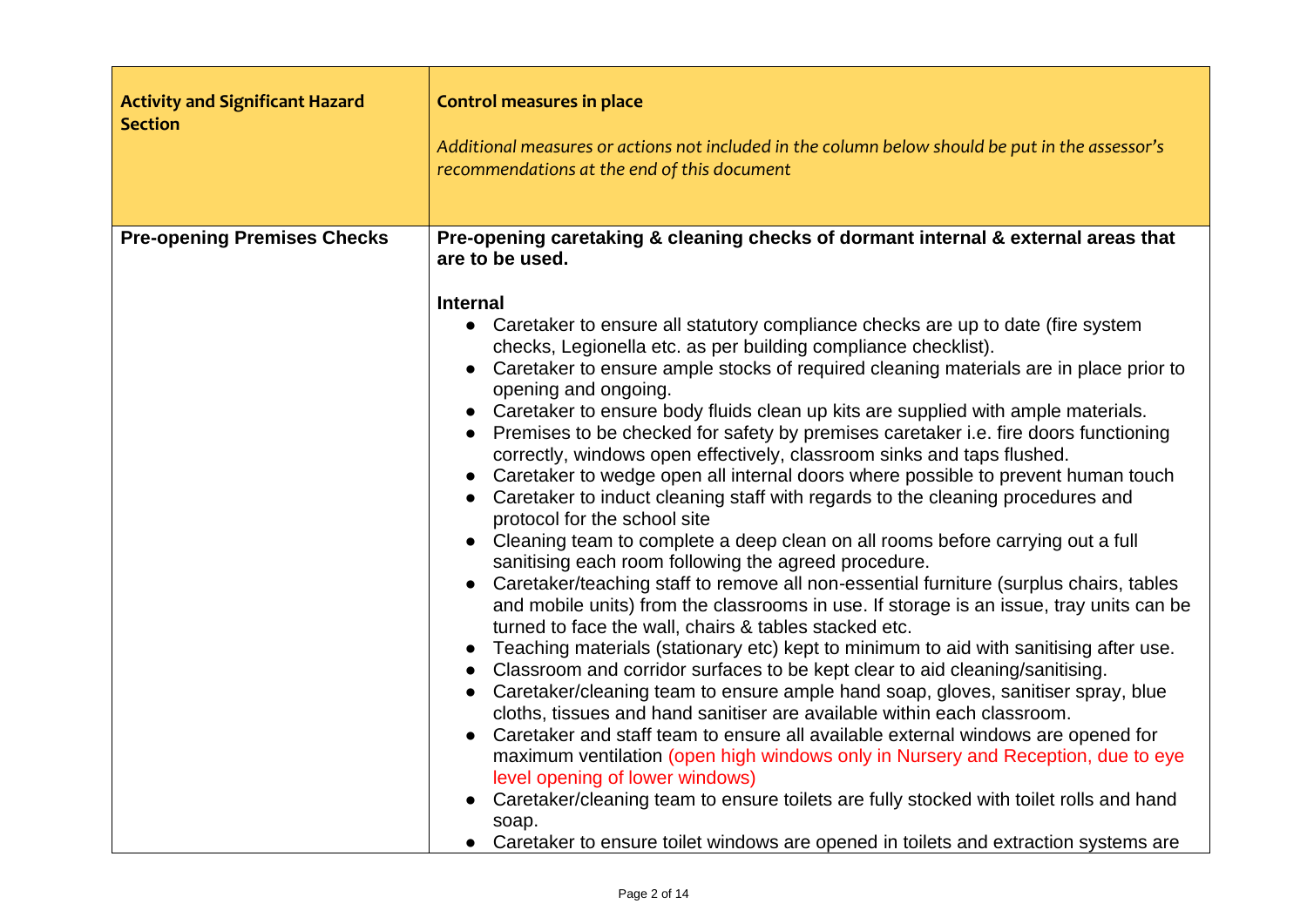| <b>Activity and Significant Hazard</b><br><b>Section</b> | <b>Control measures in place</b><br>Additional measures or actions not included in the column below should be put in the assessor's<br>recommendations at the end of this document                                                                                                                                                                                                                                                                                                                                                                                                                                                                                                                                                                                                                                                                                                                                                                                                                                                                                                                                                                                                                                                                                                                                                                                                                                                                                                                                                                                                                                                                                                                                                                                                                                                                                                                                                                                                                           |
|----------------------------------------------------------|--------------------------------------------------------------------------------------------------------------------------------------------------------------------------------------------------------------------------------------------------------------------------------------------------------------------------------------------------------------------------------------------------------------------------------------------------------------------------------------------------------------------------------------------------------------------------------------------------------------------------------------------------------------------------------------------------------------------------------------------------------------------------------------------------------------------------------------------------------------------------------------------------------------------------------------------------------------------------------------------------------------------------------------------------------------------------------------------------------------------------------------------------------------------------------------------------------------------------------------------------------------------------------------------------------------------------------------------------------------------------------------------------------------------------------------------------------------------------------------------------------------------------------------------------------------------------------------------------------------------------------------------------------------------------------------------------------------------------------------------------------------------------------------------------------------------------------------------------------------------------------------------------------------------------------------------------------------------------------------------------------------|
| <b>Pre-opening Premises Checks</b>                       | Pre-opening caretaking & cleaning checks of dormant internal & external areas that<br>are to be used.<br><b>Internal</b><br>• Caretaker to ensure all statutory compliance checks are up to date (fire system<br>checks, Legionella etc. as per building compliance checklist).<br>Caretaker to ensure ample stocks of required cleaning materials are in place prior to<br>opening and ongoing.<br>• Caretaker to ensure body fluids clean up kits are supplied with ample materials.<br>• Premises to be checked for safety by premises caretaker i.e. fire doors functioning<br>correctly, windows open effectively, classroom sinks and taps flushed.<br>• Caretaker to wedge open all internal doors where possible to prevent human touch<br>• Caretaker to induct cleaning staff with regards to the cleaning procedures and<br>protocol for the school site<br>Cleaning team to complete a deep clean on all rooms before carrying out a full<br>sanitising each room following the agreed procedure.<br>Caretaker/teaching staff to remove all non-essential furniture (surplus chairs, tables<br>and mobile units) from the classrooms in use. If storage is an issue, tray units can be<br>turned to face the wall, chairs & tables stacked etc.<br>Teaching materials (stationary etc) kept to minimum to aid with sanitising after use.<br>Classroom and corridor surfaces to be kept clear to aid cleaning/sanitising.<br>• Caretaker/cleaning team to ensure ample hand soap, gloves, sanitiser spray, blue<br>cloths, tissues and hand sanitiser are available within each classroom.<br>Caretaker and staff team to ensure all available external windows are opened for<br>maximum ventilation (open high windows only in Nursery and Reception, due to eye<br>level opening of lower windows)<br>Caretaker/cleaning team to ensure toilets are fully stocked with toilet rolls and hand<br>soap.<br>• Caretaker to ensure toilet windows are opened in toilets and extraction systems are |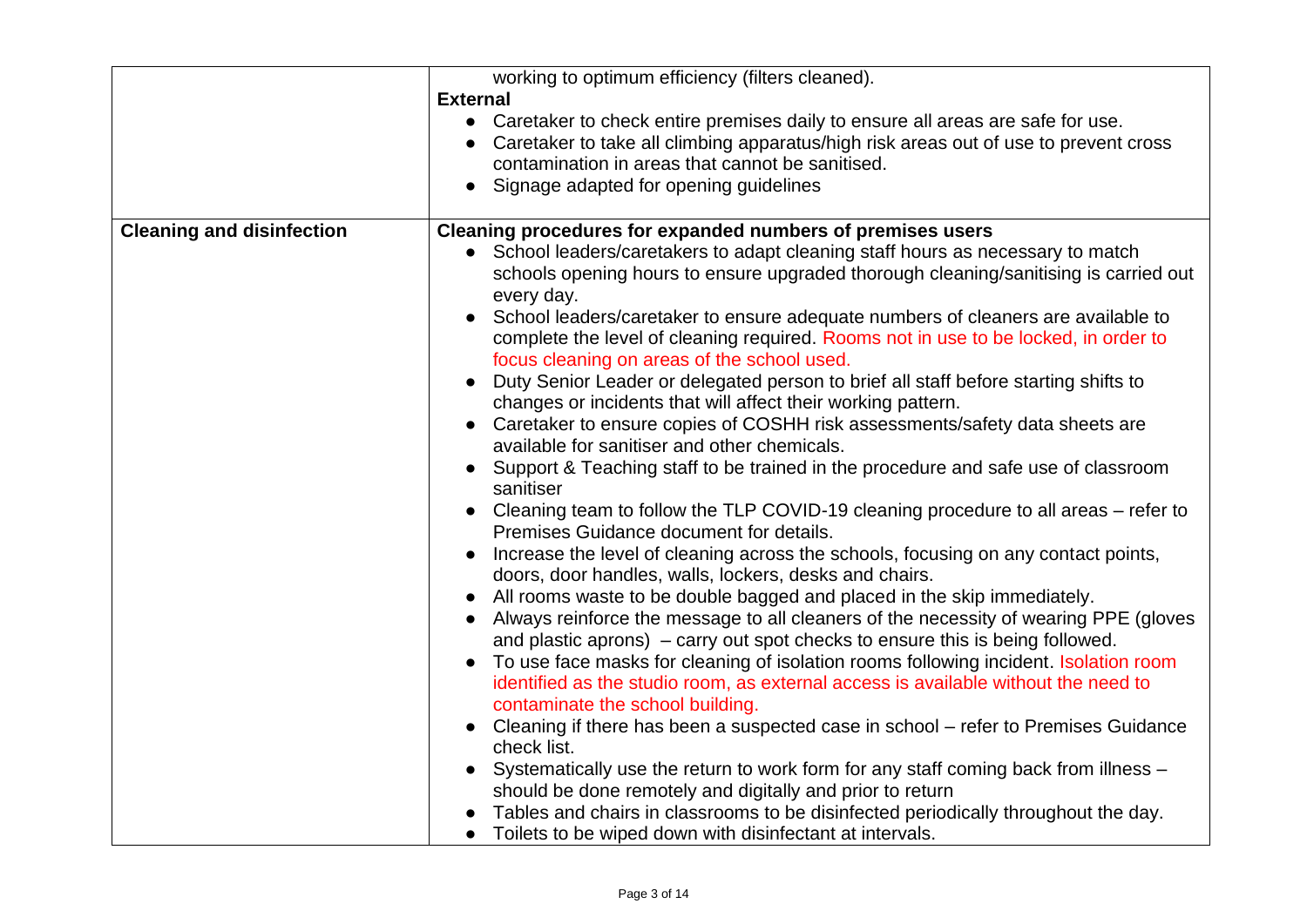|                                  | working to optimum efficiency (filters cleaned).<br><b>External</b><br>• Caretaker to check entire premises daily to ensure all areas are safe for use.<br>Caretaker to take all climbing apparatus/high risk areas out of use to prevent cross<br>contamination in areas that cannot be sanitised.                                                                                                                                                                                                                                                                                                                                                                                                                                                                                                                                                                                                                                                                                                                                                                                                                                                                                                                                                                                                                                                                                                                                                                                                                                                                                                                                                                                                                                                                                                                                                                                                                                                                                                                                          |
|----------------------------------|----------------------------------------------------------------------------------------------------------------------------------------------------------------------------------------------------------------------------------------------------------------------------------------------------------------------------------------------------------------------------------------------------------------------------------------------------------------------------------------------------------------------------------------------------------------------------------------------------------------------------------------------------------------------------------------------------------------------------------------------------------------------------------------------------------------------------------------------------------------------------------------------------------------------------------------------------------------------------------------------------------------------------------------------------------------------------------------------------------------------------------------------------------------------------------------------------------------------------------------------------------------------------------------------------------------------------------------------------------------------------------------------------------------------------------------------------------------------------------------------------------------------------------------------------------------------------------------------------------------------------------------------------------------------------------------------------------------------------------------------------------------------------------------------------------------------------------------------------------------------------------------------------------------------------------------------------------------------------------------------------------------------------------------------|
|                                  | Signage adapted for opening guidelines                                                                                                                                                                                                                                                                                                                                                                                                                                                                                                                                                                                                                                                                                                                                                                                                                                                                                                                                                                                                                                                                                                                                                                                                                                                                                                                                                                                                                                                                                                                                                                                                                                                                                                                                                                                                                                                                                                                                                                                                       |
| <b>Cleaning and disinfection</b> | Cleaning procedures for expanded numbers of premises users<br>• School leaders/caretakers to adapt cleaning staff hours as necessary to match<br>schools opening hours to ensure upgraded thorough cleaning/sanitising is carried out<br>every day.<br>School leaders/caretaker to ensure adequate numbers of cleaners are available to<br>complete the level of cleaning required. Rooms not in use to be locked, in order to<br>focus cleaning on areas of the school used.<br>Duty Senior Leader or delegated person to brief all staff before starting shifts to<br>changes or incidents that will affect their working pattern.<br>Caretaker to ensure copies of COSHH risk assessments/safety data sheets are<br>available for sanitiser and other chemicals.<br>Support & Teaching staff to be trained in the procedure and safe use of classroom<br>sanitiser<br>Cleaning team to follow the TLP COVID-19 cleaning procedure to all areas – refer to<br>Premises Guidance document for details.<br>Increase the level of cleaning across the schools, focusing on any contact points,<br>doors, door handles, walls, lockers, desks and chairs.<br>All rooms waste to be double bagged and placed in the skip immediately.<br>Always reinforce the message to all cleaners of the necessity of wearing PPE (gloves<br>and plastic aprons) $-$ carry out spot checks to ensure this is being followed.<br>To use face masks for cleaning of isolation rooms following incident. Isolation room<br>identified as the studio room, as external access is available without the need to<br>contaminate the school building.<br>Cleaning if there has been a suspected case in school – refer to Premises Guidance<br>check list.<br>Systematically use the return to work form for any staff coming back from illness -<br>should be done remotely and digitally and prior to return<br>Tables and chairs in classrooms to be disinfected periodically throughout the day.<br>• Toilets to be wiped down with disinfectant at intervals. |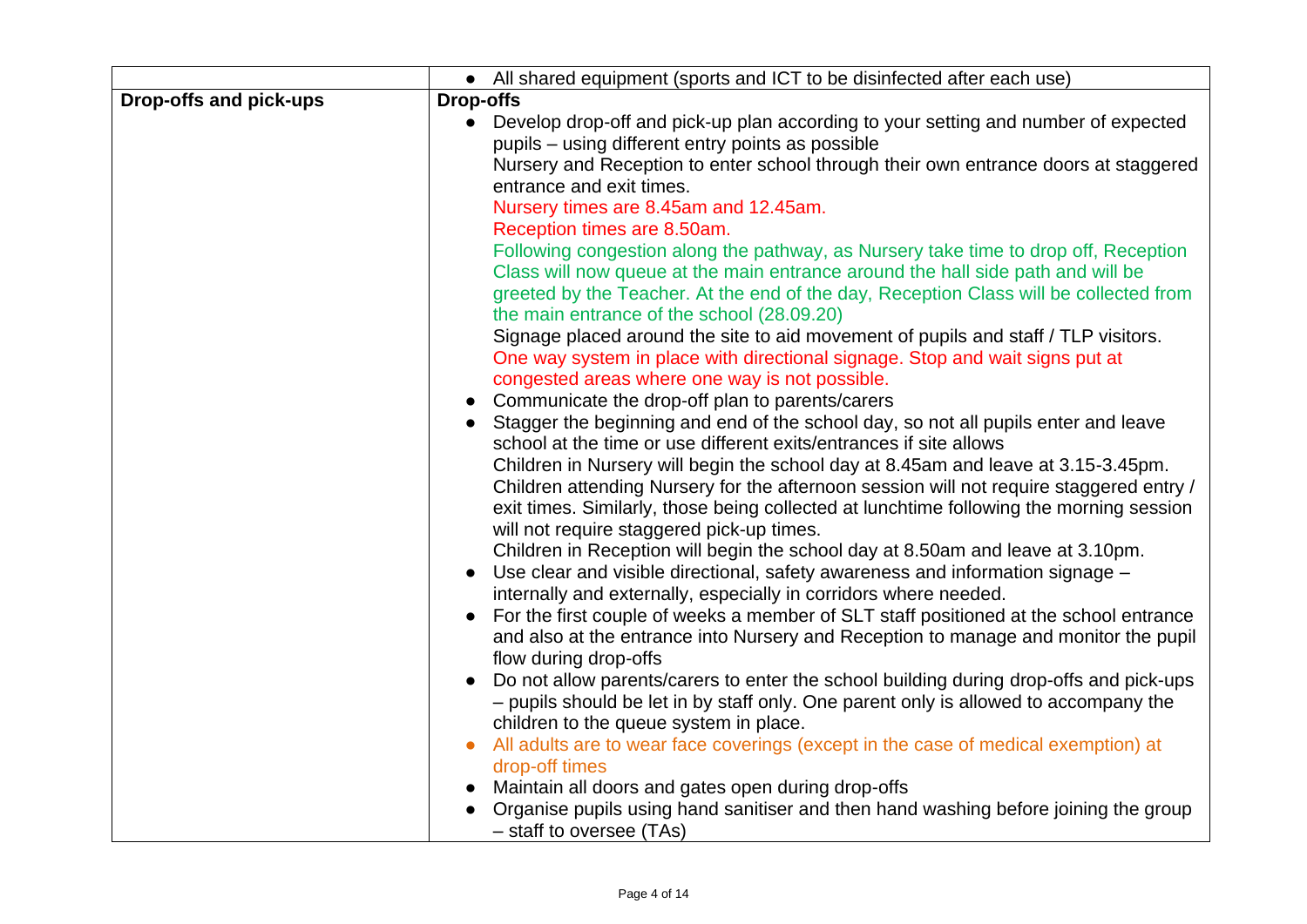|                        | • All shared equipment (sports and ICT to be disinfected after each use)                                                                                |
|------------------------|---------------------------------------------------------------------------------------------------------------------------------------------------------|
| Drop-offs and pick-ups | <b>Drop-offs</b>                                                                                                                                        |
|                        | Develop drop-off and pick-up plan according to your setting and number of expected<br>$\bullet$                                                         |
|                        | pupils - using different entry points as possible                                                                                                       |
|                        | Nursery and Reception to enter school through their own entrance doors at staggered                                                                     |
|                        | entrance and exit times.                                                                                                                                |
|                        | Nursery times are 8.45am and 12.45am.                                                                                                                   |
|                        | Reception times are 8.50am.                                                                                                                             |
|                        | Following congestion along the pathway, as Nursery take time to drop off, Reception                                                                     |
|                        | Class will now queue at the main entrance around the hall side path and will be                                                                         |
|                        | greeted by the Teacher. At the end of the day, Reception Class will be collected from                                                                   |
|                        | the main entrance of the school (28.09.20)                                                                                                              |
|                        | Signage placed around the site to aid movement of pupils and staff / TLP visitors.                                                                      |
|                        | One way system in place with directional signage. Stop and wait signs put at                                                                            |
|                        | congested areas where one way is not possible.                                                                                                          |
|                        | Communicate the drop-off plan to parents/carers<br>$\bullet$                                                                                            |
|                        | Stagger the beginning and end of the school day, so not all pupils enter and leave                                                                      |
|                        | school at the time or use different exits/entrances if site allows<br>Children in Nursery will begin the school day at 8.45am and leave at 3.15-3.45pm. |
|                        | Children attending Nursery for the afternoon session will not require staggered entry /                                                                 |
|                        | exit times. Similarly, those being collected at lunchtime following the morning session                                                                 |
|                        | will not require staggered pick-up times.                                                                                                               |
|                        | Children in Reception will begin the school day at 8.50am and leave at 3.10pm.                                                                          |
|                        | Use clear and visible directional, safety awareness and information signage -<br>$\bullet$                                                              |
|                        | internally and externally, especially in corridors where needed.                                                                                        |
|                        | For the first couple of weeks a member of SLT staff positioned at the school entrance<br>$\bullet$                                                      |
|                        | and also at the entrance into Nursery and Reception to manage and monitor the pupil                                                                     |
|                        | flow during drop-offs                                                                                                                                   |
|                        | Do not allow parents/carers to enter the school building during drop-offs and pick-ups<br>$\bullet$                                                     |
|                        | - pupils should be let in by staff only. One parent only is allowed to accompany the                                                                    |
|                        | children to the queue system in place.                                                                                                                  |
|                        | All adults are to wear face coverings (except in the case of medical exemption) at                                                                      |
|                        | drop-off times                                                                                                                                          |
|                        | Maintain all doors and gates open during drop-offs                                                                                                      |
|                        | Organise pupils using hand sanitiser and then hand washing before joining the group<br>- staff to oversee (TAs)                                         |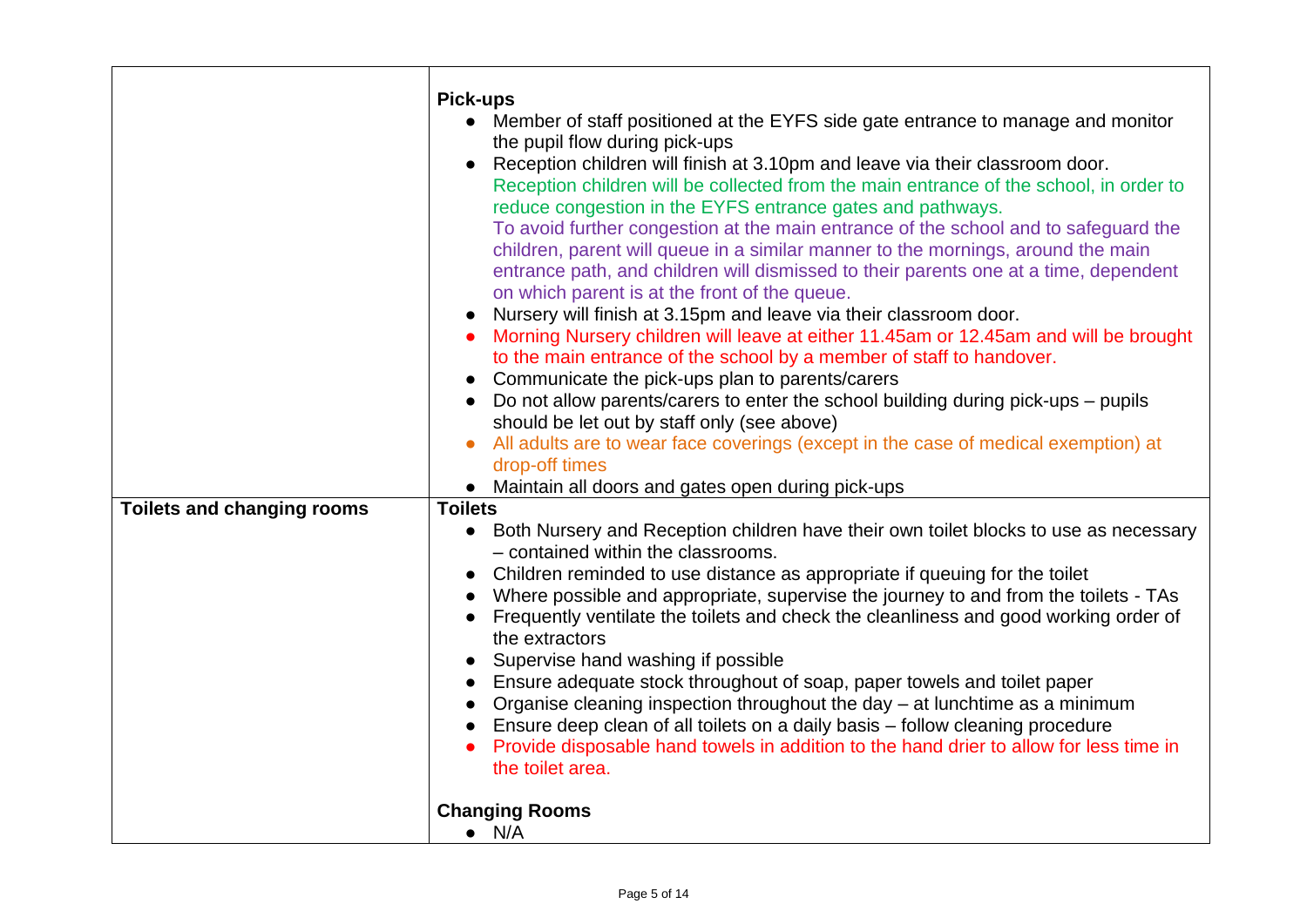|                                   | <b>Pick-ups</b>                                                                                                                                                                                                                                                                                                                                                                                                                                                                                                                                                                                                                                                                                                                                                                               |
|-----------------------------------|-----------------------------------------------------------------------------------------------------------------------------------------------------------------------------------------------------------------------------------------------------------------------------------------------------------------------------------------------------------------------------------------------------------------------------------------------------------------------------------------------------------------------------------------------------------------------------------------------------------------------------------------------------------------------------------------------------------------------------------------------------------------------------------------------|
|                                   | Member of staff positioned at the EYFS side gate entrance to manage and monitor<br>the pupil flow during pick-ups                                                                                                                                                                                                                                                                                                                                                                                                                                                                                                                                                                                                                                                                             |
|                                   | Reception children will finish at 3.10pm and leave via their classroom door.<br>Reception children will be collected from the main entrance of the school, in order to<br>reduce congestion in the EYFS entrance gates and pathways.<br>To avoid further congestion at the main entrance of the school and to safeguard the<br>children, parent will queue in a similar manner to the mornings, around the main<br>entrance path, and children will dismissed to their parents one at a time, dependent<br>on which parent is at the front of the queue.<br>Nursery will finish at 3.15pm and leave via their classroom door.<br>Morning Nursery children will leave at either 11.45am or 12.45am and will be brought<br>to the main entrance of the school by a member of staff to handover. |
|                                   |                                                                                                                                                                                                                                                                                                                                                                                                                                                                                                                                                                                                                                                                                                                                                                                               |
|                                   | Communicate the pick-ups plan to parents/carers<br>Do not allow parents/carers to enter the school building during pick-ups – pupils                                                                                                                                                                                                                                                                                                                                                                                                                                                                                                                                                                                                                                                          |
|                                   | should be let out by staff only (see above)                                                                                                                                                                                                                                                                                                                                                                                                                                                                                                                                                                                                                                                                                                                                                   |
|                                   | All adults are to wear face coverings (except in the case of medical exemption) at                                                                                                                                                                                                                                                                                                                                                                                                                                                                                                                                                                                                                                                                                                            |
|                                   | drop-off times                                                                                                                                                                                                                                                                                                                                                                                                                                                                                                                                                                                                                                                                                                                                                                                |
|                                   | • Maintain all doors and gates open during pick-ups                                                                                                                                                                                                                                                                                                                                                                                                                                                                                                                                                                                                                                                                                                                                           |
| <b>Toilets and changing rooms</b> | <b>Toilets</b>                                                                                                                                                                                                                                                                                                                                                                                                                                                                                                                                                                                                                                                                                                                                                                                |
|                                   | • Both Nursery and Reception children have their own toilet blocks to use as necessary<br>- contained within the classrooms.<br>Children reminded to use distance as appropriate if queuing for the toilet<br>Where possible and appropriate, supervise the journey to and from the toilets - TAs                                                                                                                                                                                                                                                                                                                                                                                                                                                                                             |
|                                   | Frequently ventilate the toilets and check the cleanliness and good working order of<br>the extractors<br>Supervise hand washing if possible                                                                                                                                                                                                                                                                                                                                                                                                                                                                                                                                                                                                                                                  |
|                                   | Ensure adequate stock throughout of soap, paper towels and toilet paper                                                                                                                                                                                                                                                                                                                                                                                                                                                                                                                                                                                                                                                                                                                       |
|                                   | Organise cleaning inspection throughout the day $-$ at lunchtime as a minimum                                                                                                                                                                                                                                                                                                                                                                                                                                                                                                                                                                                                                                                                                                                 |
|                                   | Ensure deep clean of all toilets on a daily basis – follow cleaning procedure                                                                                                                                                                                                                                                                                                                                                                                                                                                                                                                                                                                                                                                                                                                 |
|                                   | Provide disposable hand towels in addition to the hand drier to allow for less time in<br>the toilet area.                                                                                                                                                                                                                                                                                                                                                                                                                                                                                                                                                                                                                                                                                    |
|                                   |                                                                                                                                                                                                                                                                                                                                                                                                                                                                                                                                                                                                                                                                                                                                                                                               |
|                                   | <b>Changing Rooms</b><br>$\bullet$ N/A                                                                                                                                                                                                                                                                                                                                                                                                                                                                                                                                                                                                                                                                                                                                                        |
|                                   |                                                                                                                                                                                                                                                                                                                                                                                                                                                                                                                                                                                                                                                                                                                                                                                               |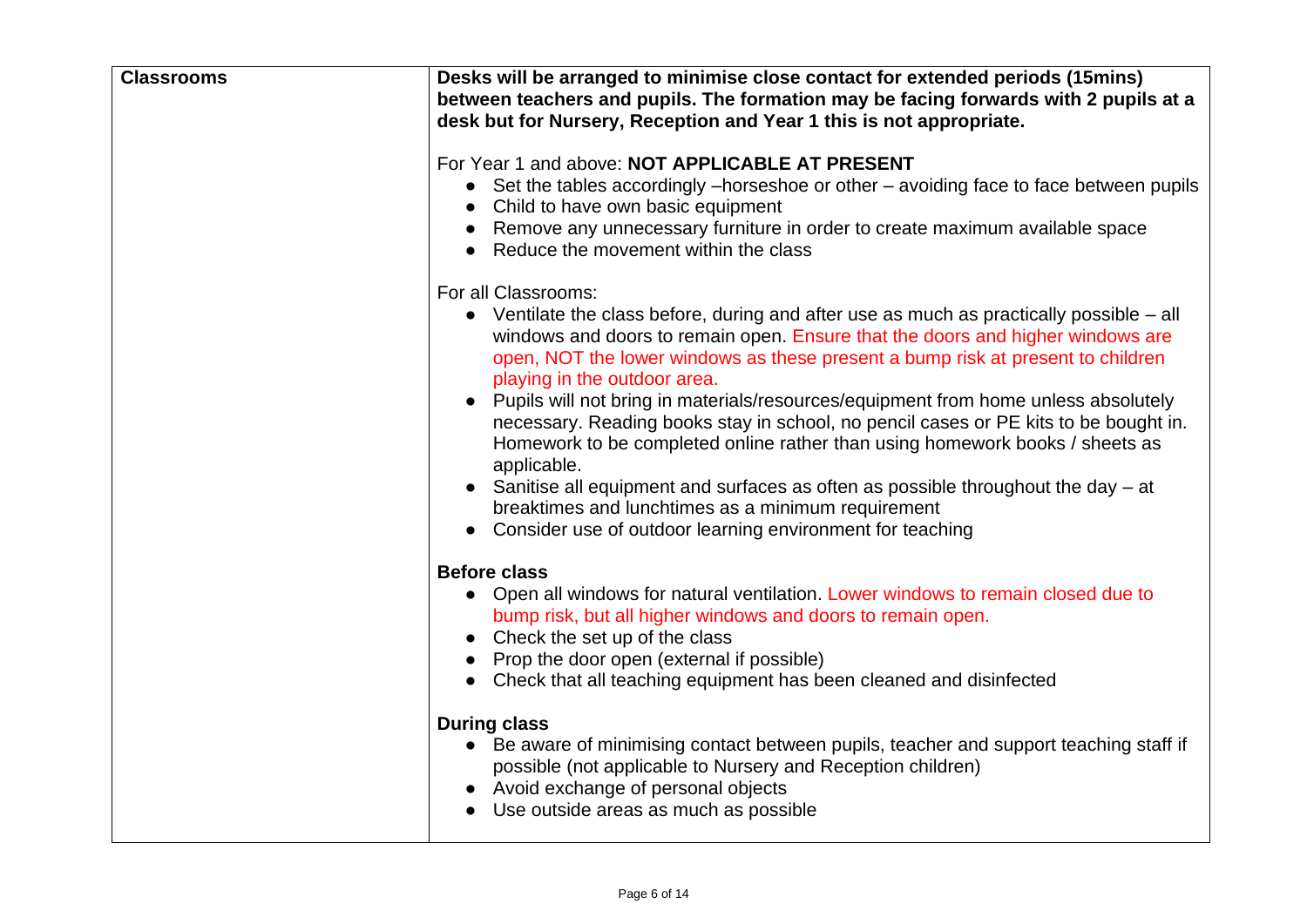| <b>Classrooms</b> | Desks will be arranged to minimise close contact for extended periods (15mins)<br>between teachers and pupils. The formation may be facing forwards with 2 pupils at a<br>desk but for Nursery, Reception and Year 1 this is not appropriate.                                                                                                                                                                                                                                                                                                                                                                                                                                                                                                                                                                             |
|-------------------|---------------------------------------------------------------------------------------------------------------------------------------------------------------------------------------------------------------------------------------------------------------------------------------------------------------------------------------------------------------------------------------------------------------------------------------------------------------------------------------------------------------------------------------------------------------------------------------------------------------------------------------------------------------------------------------------------------------------------------------------------------------------------------------------------------------------------|
|                   | For Year 1 and above: NOT APPLICABLE AT PRESENT<br>• Set the tables accordingly -horseshoe or other - avoiding face to face between pupils<br>Child to have own basic equipment<br>Remove any unnecessary furniture in order to create maximum available space<br>Reduce the movement within the class                                                                                                                                                                                                                                                                                                                                                                                                                                                                                                                    |
|                   | For all Classrooms:<br>• Ventilate the class before, during and after use as much as practically possible $-$ all<br>windows and doors to remain open. Ensure that the doors and higher windows are<br>open, NOT the lower windows as these present a bump risk at present to children<br>playing in the outdoor area.<br>Pupils will not bring in materials/resources/equipment from home unless absolutely<br>$\bullet$<br>necessary. Reading books stay in school, no pencil cases or PE kits to be bought in.<br>Homework to be completed online rather than using homework books / sheets as<br>applicable.<br>Sanitise all equipment and surfaces as often as possible throughout the day - at<br>breaktimes and lunchtimes as a minimum requirement<br>• Consider use of outdoor learning environment for teaching |
|                   | <b>Before class</b><br>• Open all windows for natural ventilation. Lower windows to remain closed due to<br>bump risk, but all higher windows and doors to remain open.<br>Check the set up of the class<br>Prop the door open (external if possible)<br>• Check that all teaching equipment has been cleaned and disinfected                                                                                                                                                                                                                                                                                                                                                                                                                                                                                             |
|                   | <b>During class</b><br>• Be aware of minimising contact between pupils, teacher and support teaching staff if<br>possible (not applicable to Nursery and Reception children)<br>• Avoid exchange of personal objects<br>• Use outside areas as much as possible                                                                                                                                                                                                                                                                                                                                                                                                                                                                                                                                                           |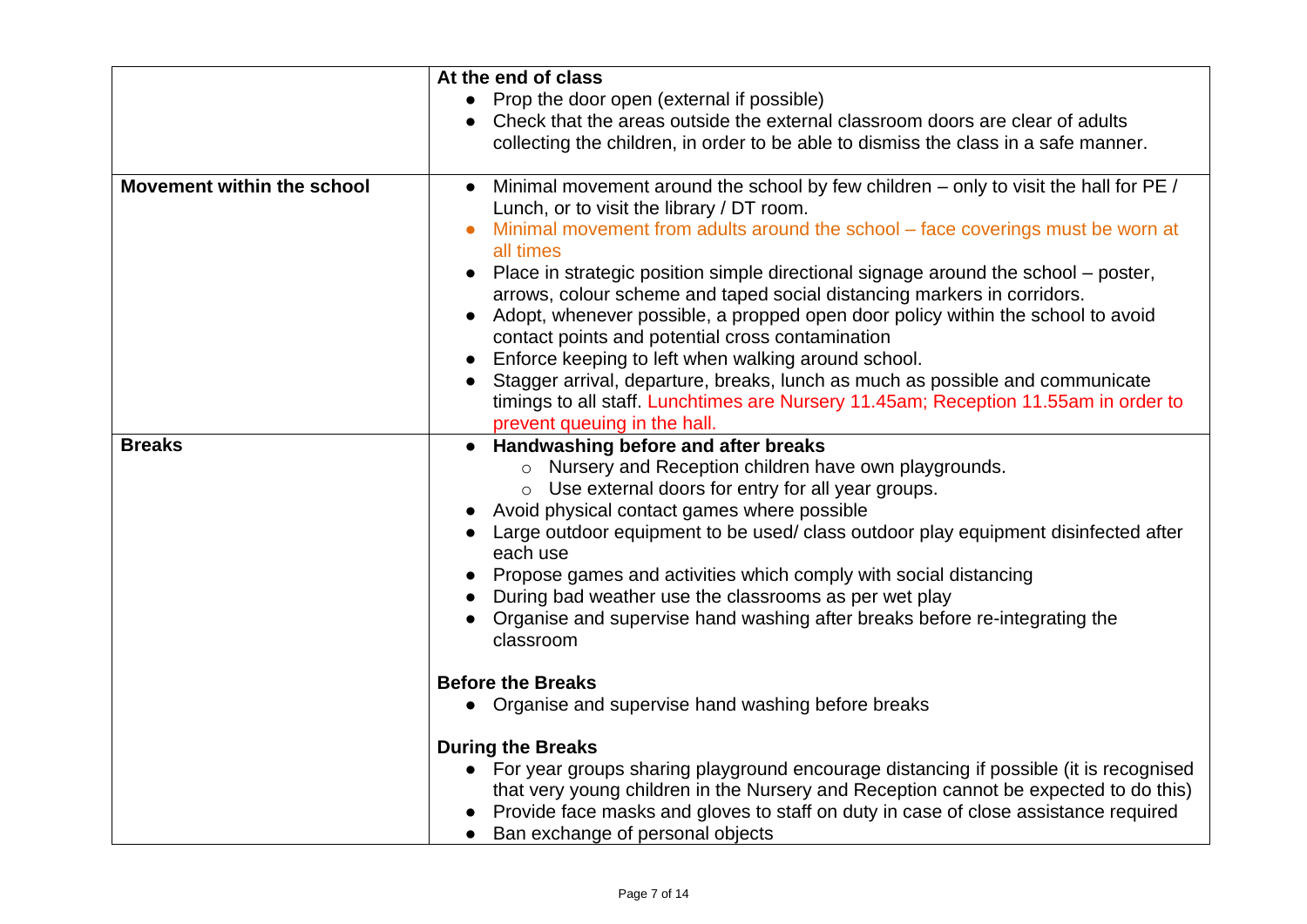|                                   | At the end of class                                                                          |
|-----------------------------------|----------------------------------------------------------------------------------------------|
|                                   | Prop the door open (external if possible)                                                    |
|                                   | Check that the areas outside the external classroom doors are clear of adults                |
|                                   | collecting the children, in order to be able to dismiss the class in a safe manner.          |
|                                   |                                                                                              |
| <b>Movement within the school</b> | Minimal movement around the school by few children – only to visit the hall for PE /         |
|                                   | Lunch, or to visit the library / DT room.                                                    |
|                                   | Minimal movement from adults around the school - face coverings must be worn at<br>all times |
|                                   | Place in strategic position simple directional signage around the school – poster,           |
|                                   | arrows, colour scheme and taped social distancing markers in corridors.                      |
|                                   | Adopt, whenever possible, a propped open door policy within the school to avoid<br>$\bullet$ |
|                                   | contact points and potential cross contamination                                             |
|                                   | Enforce keeping to left when walking around school.<br>$\bullet$                             |
|                                   | Stagger arrival, departure, breaks, lunch as much as possible and communicate                |
|                                   | timings to all staff. Lunchtimes are Nursery 11.45am; Reception 11.55am in order to          |
|                                   | prevent queuing in the hall.                                                                 |
| <b>Breaks</b>                     | <b>Handwashing before and after breaks</b>                                                   |
|                                   | o Nursery and Reception children have own playgrounds.                                       |
|                                   | o Use external doors for entry for all year groups.                                          |
|                                   | Avoid physical contact games where possible                                                  |
|                                   | Large outdoor equipment to be used/ class outdoor play equipment disinfected after           |
|                                   | each use                                                                                     |
|                                   | Propose games and activities which comply with social distancing                             |
|                                   | During bad weather use the classrooms as per wet play                                        |
|                                   | Organise and supervise hand washing after breaks before re-integrating the                   |
|                                   | classroom                                                                                    |
|                                   |                                                                                              |
|                                   | <b>Before the Breaks</b>                                                                     |
|                                   | • Organise and supervise hand washing before breaks                                          |
|                                   | <b>During the Breaks</b>                                                                     |
|                                   | • For year groups sharing playground encourage distancing if possible (it is recognised      |
|                                   | that very young children in the Nursery and Reception cannot be expected to do this)         |
|                                   | Provide face masks and gloves to staff on duty in case of close assistance required          |
|                                   | Ban exchange of personal objects<br>$\bullet$                                                |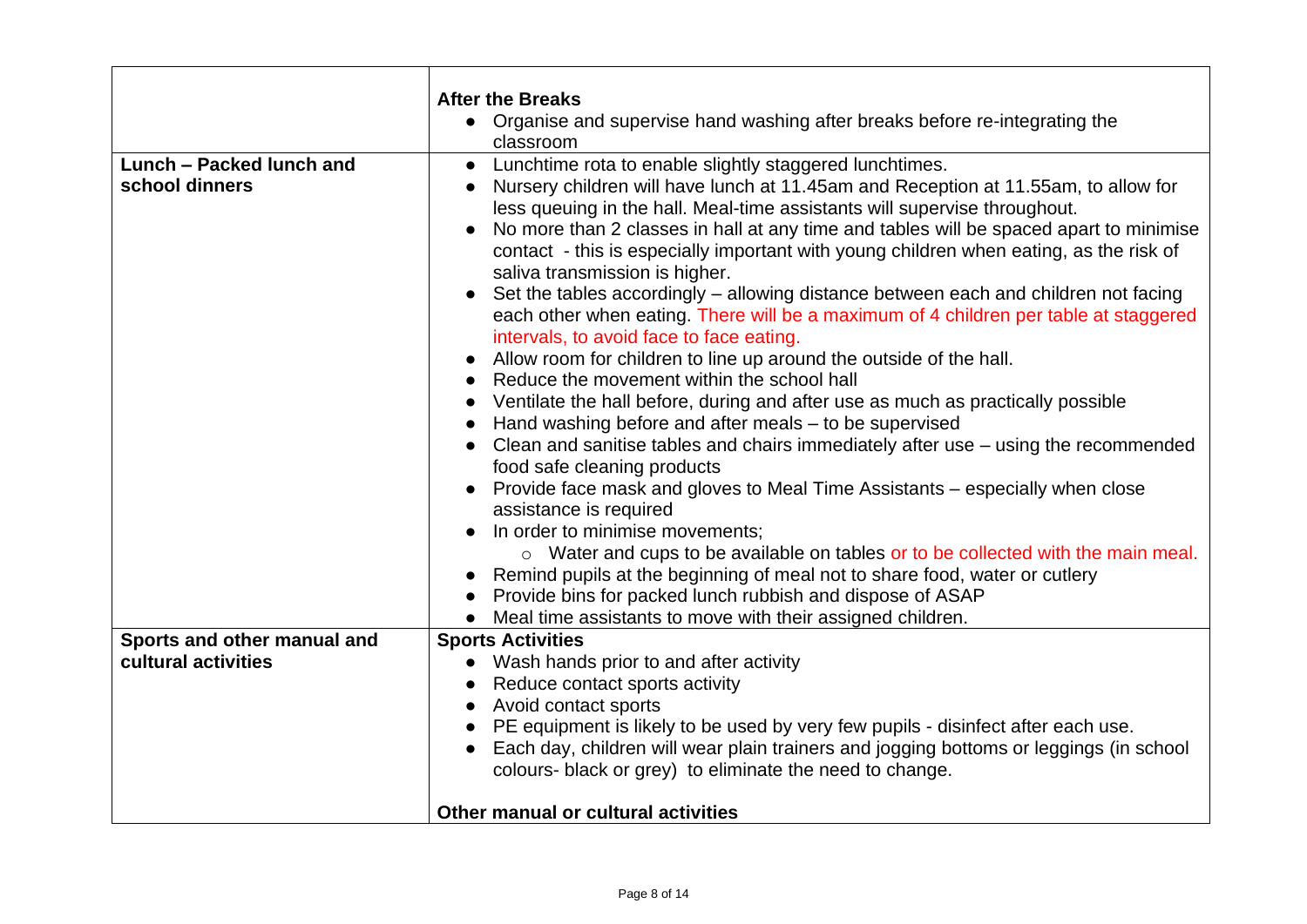|                             | <b>After the Breaks</b>                                                                                                                                         |
|-----------------------------|-----------------------------------------------------------------------------------------------------------------------------------------------------------------|
|                             | • Organise and supervise hand washing after breaks before re-integrating the                                                                                    |
|                             | classroom                                                                                                                                                       |
| Lunch - Packed lunch and    | Lunchtime rota to enable slightly staggered lunchtimes.<br>$\bullet$                                                                                            |
| school dinners              | Nursery children will have lunch at 11.45am and Reception at 11.55am, to allow for                                                                              |
|                             | less queuing in the hall. Meal-time assistants will supervise throughout.                                                                                       |
|                             | No more than 2 classes in hall at any time and tables will be spaced apart to minimise<br>$\bullet$                                                             |
|                             | contact - this is especially important with young children when eating, as the risk of                                                                          |
|                             | saliva transmission is higher.                                                                                                                                  |
|                             | Set the tables accordingly – allowing distance between each and children not facing<br>$\bullet$                                                                |
|                             | each other when eating. There will be a maximum of 4 children per table at staggered                                                                            |
|                             | intervals, to avoid face to face eating.                                                                                                                        |
|                             | Allow room for children to line up around the outside of the hall.                                                                                              |
|                             | Reduce the movement within the school hall                                                                                                                      |
|                             | Ventilate the hall before, during and after use as much as practically possible                                                                                 |
|                             | Hand washing before and after meals – to be supervised                                                                                                          |
|                             | Clean and sanitise tables and chairs immediately after use – using the recommended                                                                              |
|                             | food safe cleaning products                                                                                                                                     |
|                             | Provide face mask and gloves to Meal Time Assistants – especially when close                                                                                    |
|                             | assistance is required<br>In order to minimise movements;                                                                                                       |
|                             |                                                                                                                                                                 |
|                             | o Water and cups to be available on tables or to be collected with the main meal.<br>Remind pupils at the beginning of meal not to share food, water or cutlery |
|                             | Provide bins for packed lunch rubbish and dispose of ASAP                                                                                                       |
|                             | Meal time assistants to move with their assigned children.                                                                                                      |
| Sports and other manual and | <b>Sports Activities</b>                                                                                                                                        |
| cultural activities         | • Wash hands prior to and after activity                                                                                                                        |
|                             | Reduce contact sports activity                                                                                                                                  |
|                             | Avoid contact sports                                                                                                                                            |
|                             | PE equipment is likely to be used by very few pupils - disinfect after each use.                                                                                |
|                             | Each day, children will wear plain trainers and jogging bottoms or leggings (in school                                                                          |
|                             | colours- black or grey) to eliminate the need to change.                                                                                                        |
|                             |                                                                                                                                                                 |
|                             | Other manual or cultural activities                                                                                                                             |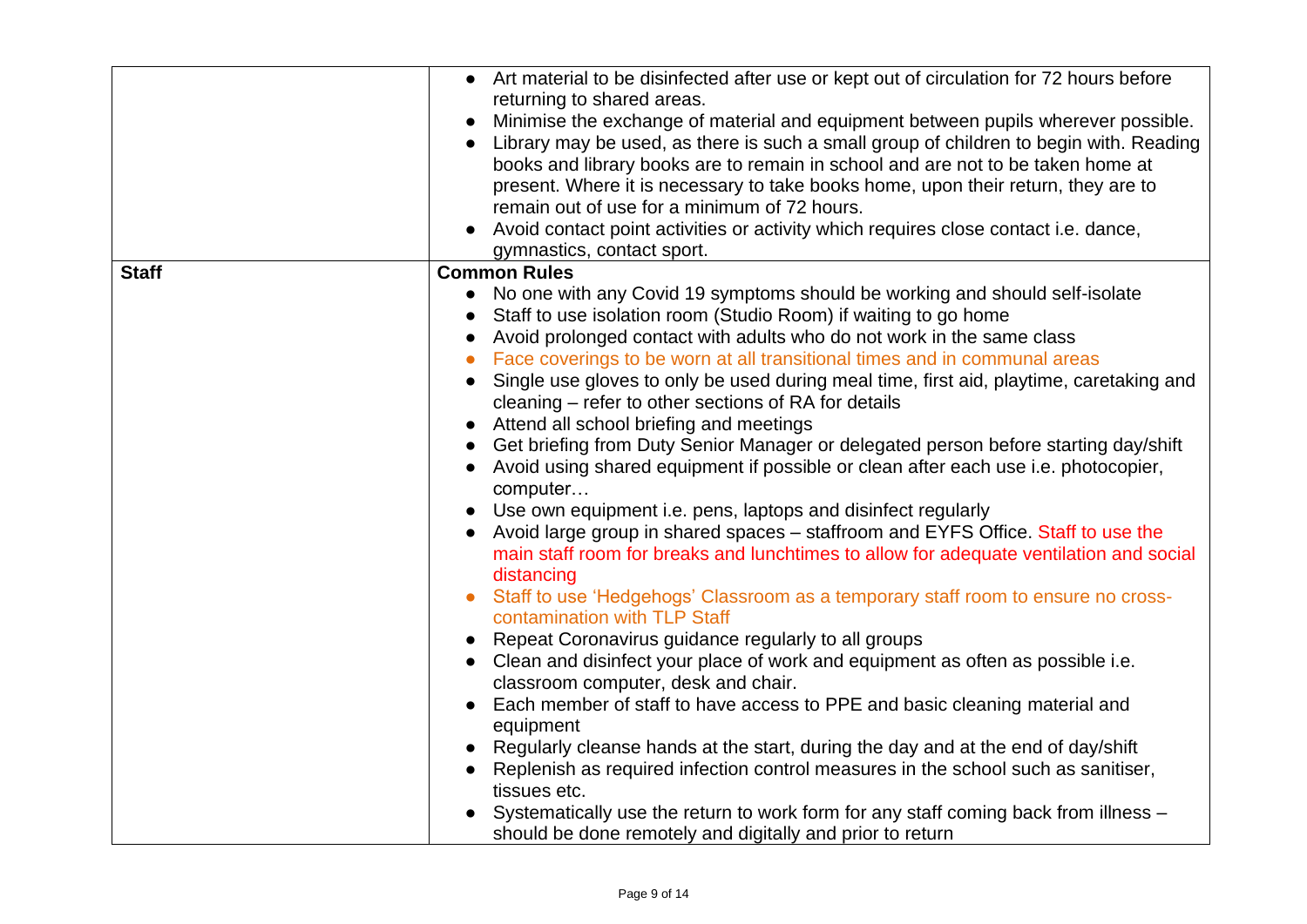|              | • Art material to be disinfected after use or kept out of circulation for 72 hours before |
|--------------|-------------------------------------------------------------------------------------------|
|              | returning to shared areas.                                                                |
|              | Minimise the exchange of material and equipment between pupils wherever possible.         |
|              | Library may be used, as there is such a small group of children to begin with. Reading    |
|              |                                                                                           |
|              | books and library books are to remain in school and are not to be taken home at           |
|              | present. Where it is necessary to take books home, upon their return, they are to         |
|              | remain out of use for a minimum of 72 hours.                                              |
|              | Avoid contact point activities or activity which requires close contact i.e. dance,       |
|              | gymnastics, contact sport.                                                                |
| <b>Staff</b> | <b>Common Rules</b>                                                                       |
|              | No one with any Covid 19 symptoms should be working and should self-isolate<br>$\bullet$  |
|              |                                                                                           |
|              | Staff to use isolation room (Studio Room) if waiting to go home                           |
|              | Avoid prolonged contact with adults who do not work in the same class                     |
|              | Face coverings to be worn at all transitional times and in communal areas                 |
|              | Single use gloves to only be used during meal time, first aid, playtime, caretaking and   |
|              | cleaning - refer to other sections of RA for details                                      |
|              | Attend all school briefing and meetings                                                   |
|              | Get briefing from Duty Senior Manager or delegated person before starting day/shift       |
|              |                                                                                           |
|              | Avoid using shared equipment if possible or clean after each use i.e. photocopier,        |
|              | computer                                                                                  |
|              | Use own equipment i.e. pens, laptops and disinfect regularly                              |
|              | Avoid large group in shared spaces - staffroom and EYFS Office. Staff to use the          |
|              | main staff room for breaks and lunchtimes to allow for adequate ventilation and social    |
|              | distancing                                                                                |
|              |                                                                                           |
|              | Staff to use 'Hedgehogs' Classroom as a temporary staff room to ensure no cross-          |
|              | contamination with TLP Staff                                                              |
|              | Repeat Coronavirus guidance regularly to all groups                                       |
|              | Clean and disinfect your place of work and equipment as often as possible i.e.            |
|              | classroom computer, desk and chair.                                                       |
|              | Each member of staff to have access to PPE and basic cleaning material and                |
|              | equipment                                                                                 |
|              | Regularly cleanse hands at the start, during the day and at the end of day/shift          |
|              |                                                                                           |
|              | Replenish as required infection control measures in the school such as sanitiser,         |
|              | tissues etc.                                                                              |
|              | Systematically use the return to work form for any staff coming back from illness –       |
|              | should be done remotely and digitally and prior to return                                 |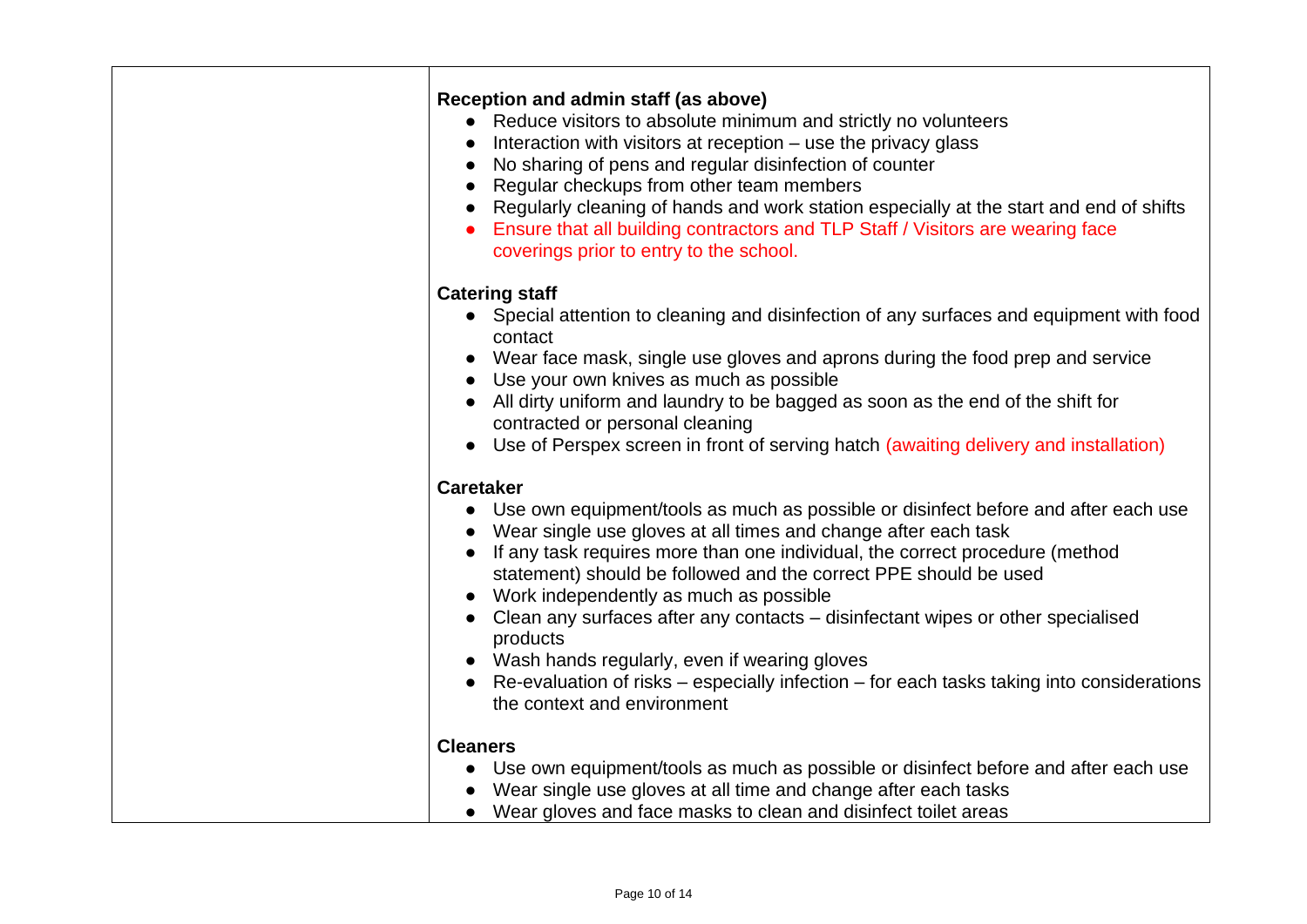| Reception and admin staff (as above)<br>• Reduce visitors to absolute minimum and strictly no volunteers<br>Interaction with visitors at reception – use the privacy glass<br>No sharing of pens and regular disinfection of counter<br>Regular checkups from other team members<br>Regularly cleaning of hands and work station especially at the start and end of shifts<br>Ensure that all building contractors and TLP Staff / Visitors are wearing face<br>coverings prior to entry to the school.                                                                                                                                               |
|-------------------------------------------------------------------------------------------------------------------------------------------------------------------------------------------------------------------------------------------------------------------------------------------------------------------------------------------------------------------------------------------------------------------------------------------------------------------------------------------------------------------------------------------------------------------------------------------------------------------------------------------------------|
| <b>Catering staff</b><br>• Special attention to cleaning and disinfection of any surfaces and equipment with food<br>contact<br>Wear face mask, single use gloves and aprons during the food prep and service<br>Use your own knives as much as possible<br>• All dirty uniform and laundry to be bagged as soon as the end of the shift for<br>contracted or personal cleaning<br>Use of Perspex screen in front of serving hatch (awaiting delivery and installation)                                                                                                                                                                               |
| <b>Caretaker</b><br>• Use own equipment/tools as much as possible or disinfect before and after each use<br>Wear single use gloves at all times and change after each task<br>If any task requires more than one individual, the correct procedure (method<br>statement) should be followed and the correct PPE should be used<br>Work independently as much as possible<br>Clean any surfaces after any contacts - disinfectant wipes or other specialised<br>products<br>• Wash hands regularly, even if wearing gloves<br>Re-evaluation of risks – especially infection – for each tasks taking into considerations<br>the context and environment |
| <b>Cleaners</b><br>• Use own equipment/tools as much as possible or disinfect before and after each use<br>Wear single use gloves at all time and change after each tasks<br>Wear gloves and face masks to clean and disinfect toilet areas<br>$\bullet$                                                                                                                                                                                                                                                                                                                                                                                              |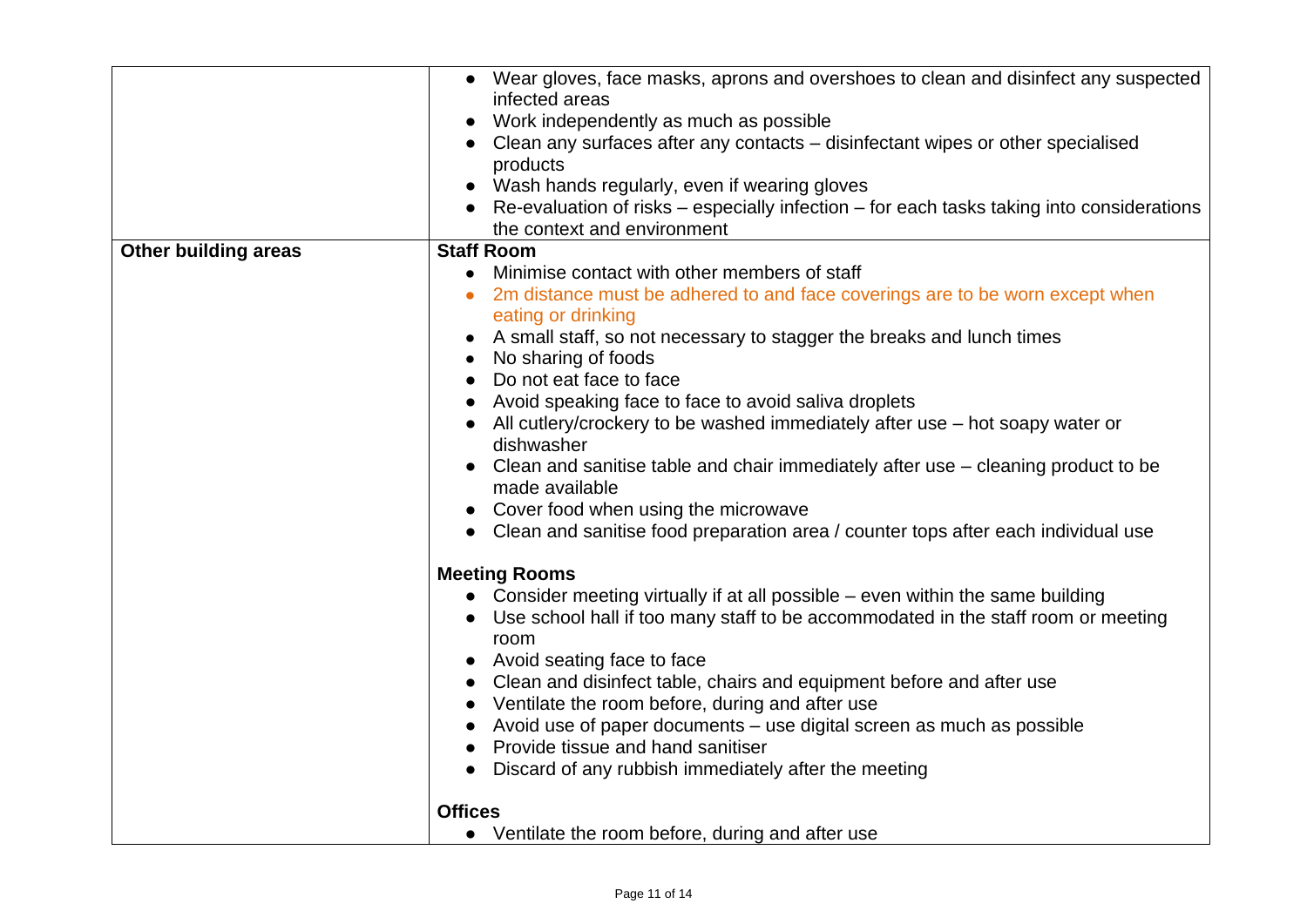|                             | • Wear gloves, face masks, aprons and overshoes to clean and disinfect any suspected               |
|-----------------------------|----------------------------------------------------------------------------------------------------|
|                             |                                                                                                    |
|                             | infected areas                                                                                     |
|                             | Work independently as much as possible                                                             |
|                             | Clean any surfaces after any contacts – disinfectant wipes or other specialised                    |
|                             | products                                                                                           |
|                             | Wash hands regularly, even if wearing gloves                                                       |
|                             | • Re-evaluation of risks – especially infection – for each tasks taking into considerations        |
|                             | the context and environment                                                                        |
| <b>Other building areas</b> | <b>Staff Room</b>                                                                                  |
|                             | Minimise contact with other members of staff                                                       |
|                             |                                                                                                    |
|                             | 2m distance must be adhered to and face coverings are to be worn except when<br>eating or drinking |
|                             | A small staff, so not necessary to stagger the breaks and lunch times                              |
|                             | No sharing of foods                                                                                |
|                             | Do not eat face to face                                                                            |
|                             | Avoid speaking face to face to avoid saliva droplets                                               |
|                             |                                                                                                    |
|                             | • All cutlery/crockery to be washed immediately after use $-$ hot soapy water or<br>dishwasher     |
|                             | • Clean and sanitise table and chair immediately after use – cleaning product to be                |
|                             | made available                                                                                     |
|                             | • Cover food when using the microwave                                                              |
|                             | • Clean and sanitise food preparation area / counter tops after each individual use                |
|                             |                                                                                                    |
|                             | <b>Meeting Rooms</b>                                                                               |
|                             | • Consider meeting virtually if at all possible – even within the same building                    |
|                             | Use school hall if too many staff to be accommodated in the staff room or meeting                  |
|                             | room                                                                                               |
|                             | • Avoid seating face to face                                                                       |
|                             | Clean and disinfect table, chairs and equipment before and after use                               |
|                             | • Ventilate the room before, during and after use                                                  |
|                             | Avoid use of paper documents - use digital screen as much as possible                              |
|                             | Provide tissue and hand sanitiser                                                                  |
|                             | Discard of any rubbish immediately after the meeting                                               |
|                             | <b>Offices</b>                                                                                     |
|                             |                                                                                                    |
|                             | • Ventilate the room before, during and after use                                                  |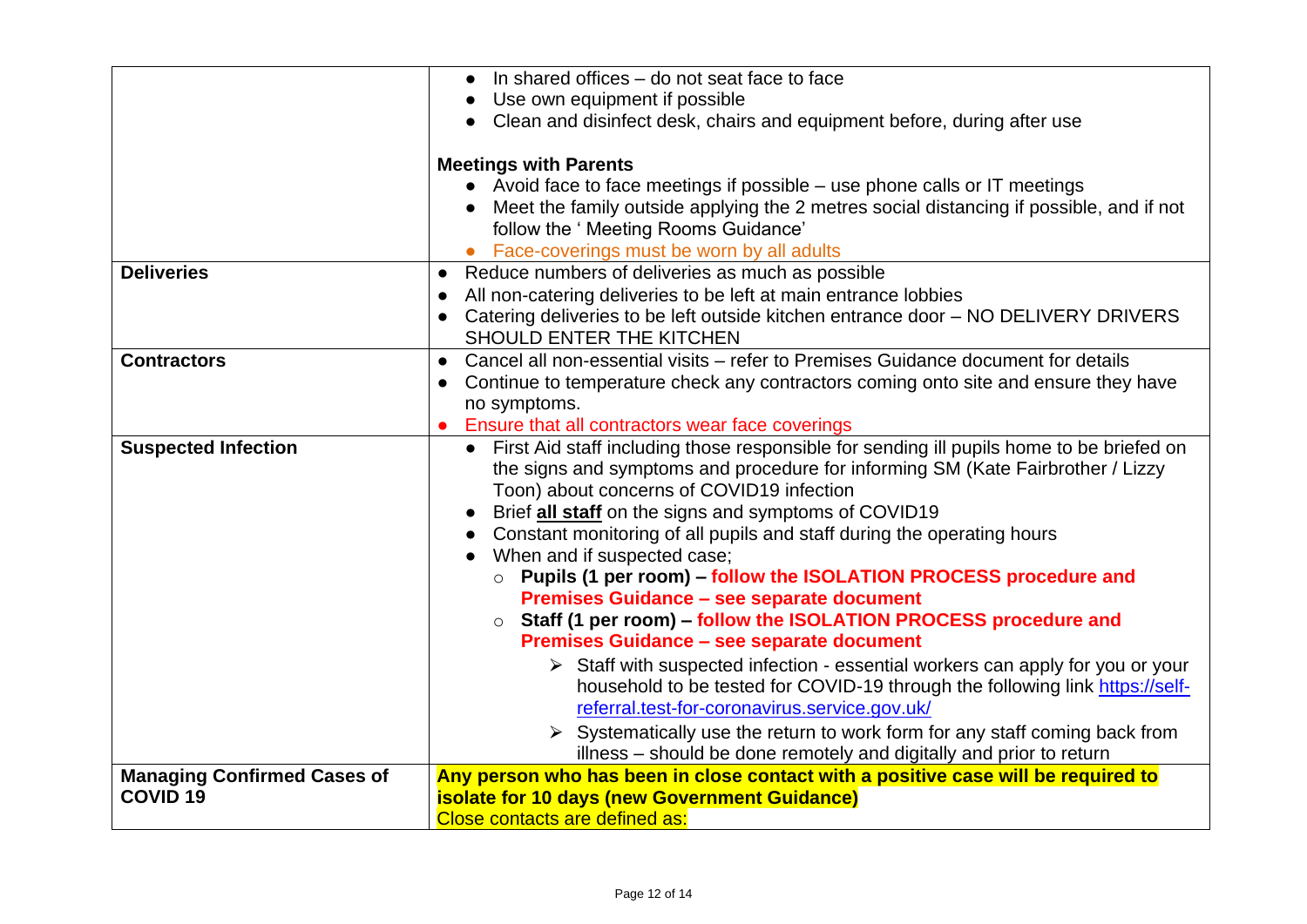|                                                           | In shared offices - do not seat face to face<br>$\bullet$                                                                                                                                                                             |  |  |  |  |
|-----------------------------------------------------------|---------------------------------------------------------------------------------------------------------------------------------------------------------------------------------------------------------------------------------------|--|--|--|--|
|                                                           | Use own equipment if possible                                                                                                                                                                                                         |  |  |  |  |
|                                                           | Clean and disinfect desk, chairs and equipment before, during after use<br><b>Meetings with Parents</b>                                                                                                                               |  |  |  |  |
|                                                           |                                                                                                                                                                                                                                       |  |  |  |  |
|                                                           | • Avoid face to face meetings if possible – use phone calls or IT meetings                                                                                                                                                            |  |  |  |  |
|                                                           | Meet the family outside applying the 2 metres social distancing if possible, and if not<br>follow the ' Meeting Rooms Guidance'                                                                                                       |  |  |  |  |
|                                                           | Face-coverings must be worn by all adults                                                                                                                                                                                             |  |  |  |  |
| <b>Deliveries</b>                                         | Reduce numbers of deliveries as much as possible<br>$\bullet$                                                                                                                                                                         |  |  |  |  |
|                                                           | All non-catering deliveries to be left at main entrance lobbies<br>$\bullet$                                                                                                                                                          |  |  |  |  |
|                                                           | Catering deliveries to be left outside kitchen entrance door - NO DELIVERY DRIVERS<br>SHOULD ENTER THE KITCHEN                                                                                                                        |  |  |  |  |
| <b>Contractors</b>                                        | Cancel all non-essential visits - refer to Premises Guidance document for details<br>$\bullet$                                                                                                                                        |  |  |  |  |
|                                                           | Continue to temperature check any contractors coming onto site and ensure they have                                                                                                                                                   |  |  |  |  |
|                                                           | no symptoms.                                                                                                                                                                                                                          |  |  |  |  |
|                                                           | Ensure that all contractors wear face coverings                                                                                                                                                                                       |  |  |  |  |
| <b>Suspected Infection</b>                                | First Aid staff including those responsible for sending ill pupils home to be briefed on<br>$\bullet$<br>the signs and symptoms and procedure for informing SM (Kate Fairbrother / Lizzy<br>Toon) about concerns of COVID19 infection |  |  |  |  |
|                                                           | Brief all staff on the signs and symptoms of COVID19                                                                                                                                                                                  |  |  |  |  |
|                                                           | Constant monitoring of all pupils and staff during the operating hours                                                                                                                                                                |  |  |  |  |
|                                                           | When and if suspected case;                                                                                                                                                                                                           |  |  |  |  |
|                                                           | Pupils (1 per room) - follow the ISOLATION PROCESS procedure and                                                                                                                                                                      |  |  |  |  |
|                                                           | Premises Guidance - see separate document                                                                                                                                                                                             |  |  |  |  |
|                                                           | Staff (1 per room) - follow the ISOLATION PROCESS procedure and<br>$\circ$                                                                                                                                                            |  |  |  |  |
|                                                           | Premises Guidance - see separate document                                                                                                                                                                                             |  |  |  |  |
|                                                           | $\triangleright$ Staff with suspected infection - essential workers can apply for you or your                                                                                                                                         |  |  |  |  |
|                                                           | household to be tested for COVID-19 through the following link https://self-                                                                                                                                                          |  |  |  |  |
|                                                           | referral.test-for-coronavirus.service.gov.uk/                                                                                                                                                                                         |  |  |  |  |
|                                                           | $\triangleright$ Systematically use the return to work form for any staff coming back from                                                                                                                                            |  |  |  |  |
|                                                           | illness - should be done remotely and digitally and prior to return                                                                                                                                                                   |  |  |  |  |
| <b>Managing Confirmed Cases of</b><br>COVID <sub>19</sub> | Any person who has been in close contact with a positive case will be required to<br><b>isolate for 10 days (new Government Guidance)</b>                                                                                             |  |  |  |  |
|                                                           | Close contacts are defined as:                                                                                                                                                                                                        |  |  |  |  |
|                                                           |                                                                                                                                                                                                                                       |  |  |  |  |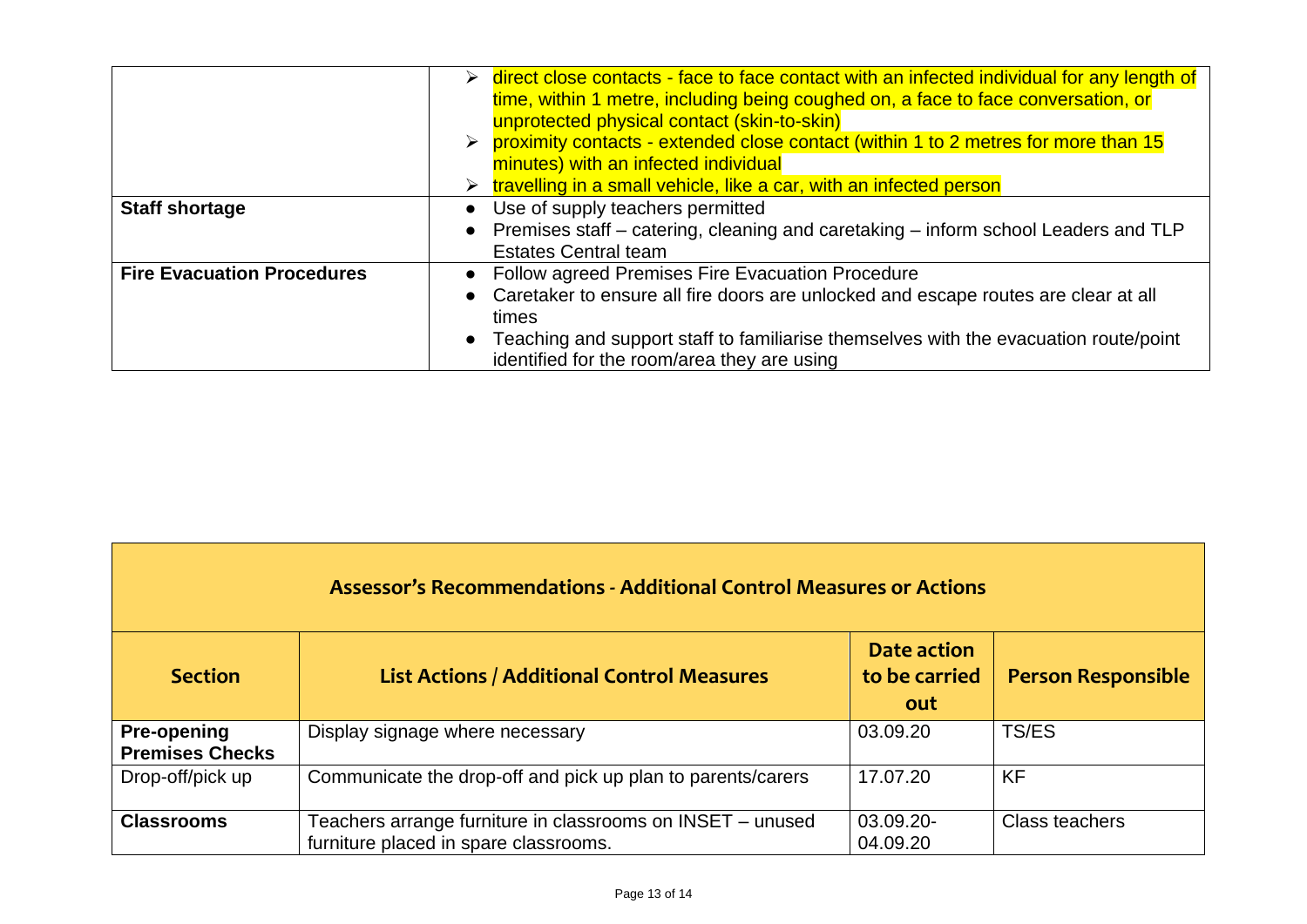|                                   |           | $\triangleright$ direct close contacts - face to face contact with an infected individual for any length of<br>time, within 1 metre, including being coughed on, a face to face conversation, or<br>unprotected physical contact (skin-to-skin)                                          |
|-----------------------------------|-----------|------------------------------------------------------------------------------------------------------------------------------------------------------------------------------------------------------------------------------------------------------------------------------------------|
|                                   |           | $\triangleright$ proximity contacts - extended close contact (within 1 to 2 metres for more than 15<br>minutes) with an infected individual<br>$\triangleright$ travelling in a small vehicle, like a car, with an infected person                                                       |
| <b>Staff shortage</b>             | $\bullet$ | Use of supply teachers permitted<br>• Premises staff – catering, cleaning and caretaking – inform school Leaders and TLP<br><b>Estates Central team</b>                                                                                                                                  |
| <b>Fire Evacuation Procedures</b> | $\bullet$ | • Follow agreed Premises Fire Evacuation Procedure<br>Caretaker to ensure all fire doors are unlocked and escape routes are clear at all<br>times<br>Teaching and support staff to familiarise themselves with the evacuation route/point<br>identified for the room/area they are using |

| <b>Assessor's Recommendations - Additional Control Measures or Actions</b> |                                                                                                     |                                     |                           |  |  |  |
|----------------------------------------------------------------------------|-----------------------------------------------------------------------------------------------------|-------------------------------------|---------------------------|--|--|--|
| <b>Section</b>                                                             | <b>List Actions / Additional Control Measures</b>                                                   | Date action<br>to be carried<br>out | <b>Person Responsible</b> |  |  |  |
| <b>Pre-opening</b><br><b>Premises Checks</b>                               | Display signage where necessary                                                                     | 03.09.20                            | TS/ES                     |  |  |  |
| Drop-off/pick up                                                           | Communicate the drop-off and pick up plan to parents/carers                                         | 17.07.20                            | <b>KF</b>                 |  |  |  |
| <b>Classrooms</b>                                                          | Teachers arrange furniture in classrooms on INSET - unused<br>furniture placed in spare classrooms. | 03.09.20-<br>04.09.20               | Class teachers            |  |  |  |